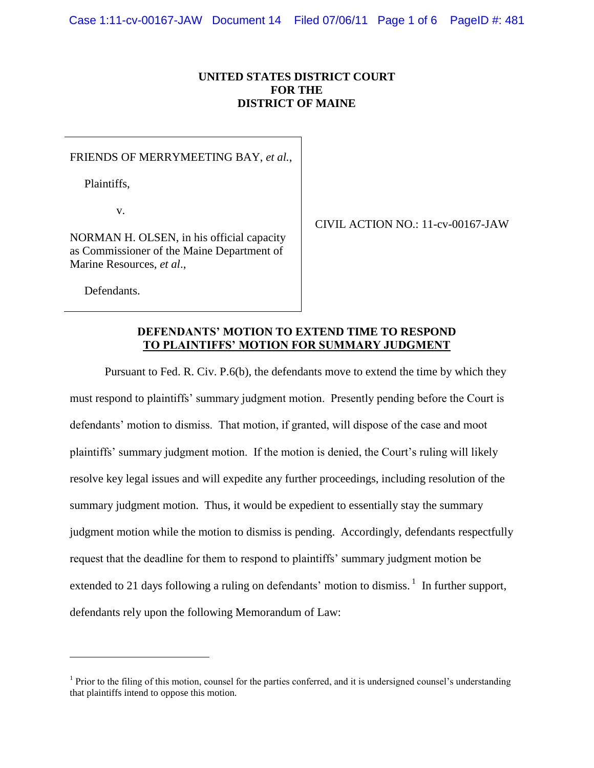## **UNITED STATES DISTRICT COURT FOR THE DISTRICT OF MAINE**

#### FRIENDS OF MERRYMEETING BAY, *et al.*,

Plaintiffs,

v.

NORMAN H. OLSEN, in his official capacity as Commissioner of the Maine Department of Marine Resources, *et al*.,

CIVIL ACTION NO.: 11-cv-00167-JAW

Defendants.

 $\overline{a}$ 

### **DEFENDANTS' MOTION TO EXTEND TIME TO RESPOND TO PLAINTIFFS' MOTION FOR SUMMARY JUDGMENT**

Pursuant to Fed. R. Civ. P.6(b), the defendants move to extend the time by which they must respond to plaintiffs' summary judgment motion. Presently pending before the Court is defendants' motion to dismiss. That motion, if granted, will dispose of the case and moot plaintiffs' summary judgment motion. If the motion is denied, the Court's ruling will likely resolve key legal issues and will expedite any further proceedings, including resolution of the summary judgment motion. Thus, it would be expedient to essentially stay the summary judgment motion while the motion to dismiss is pending. Accordingly, defendants respectfully request that the deadline for them to respond to plaintiffs' summary judgment motion be extended to 21 days following a ruling on defendants' motion to dismiss.  $\frac{1}{1}$  In further support, defendants rely upon the following Memorandum of Law:

 $<sup>1</sup>$  Prior to the filing of this motion, counsel for the parties conferred, and it is undersigned counsel's understanding</sup> that plaintiffs intend to oppose this motion.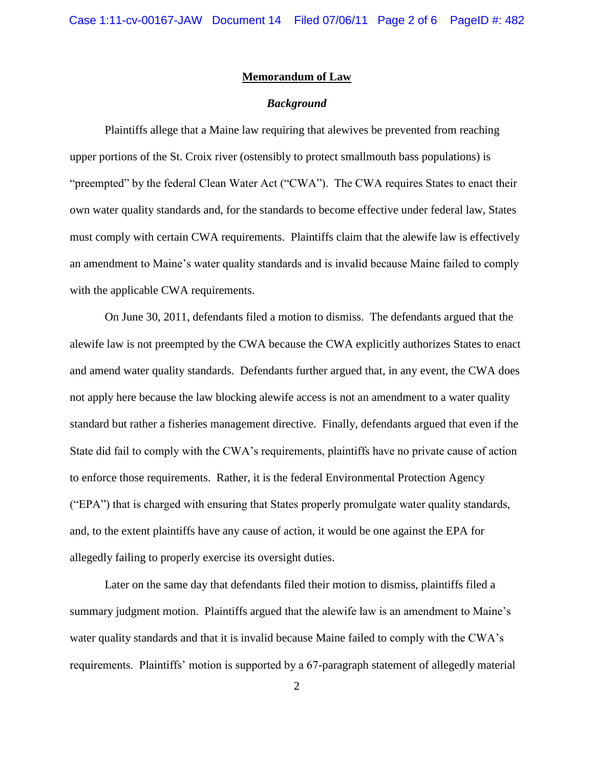#### **Memorandum of Law**

### *Background*

Plaintiffs allege that a Maine law requiring that alewives be prevented from reaching upper portions of the St. Croix river (ostensibly to protect smallmouth bass populations) is "preempted" by the federal Clean Water Act ("CWA"). The CWA requires States to enact their own water quality standards and, for the standards to become effective under federal law, States must comply with certain CWA requirements. Plaintiffs claim that the alewife law is effectively an amendment to Maine's water quality standards and is invalid because Maine failed to comply with the applicable CWA requirements.

On June 30, 2011, defendants filed a motion to dismiss. The defendants argued that the alewife law is not preempted by the CWA because the CWA explicitly authorizes States to enact and amend water quality standards. Defendants further argued that, in any event, the CWA does not apply here because the law blocking alewife access is not an amendment to a water quality standard but rather a fisheries management directive. Finally, defendants argued that even if the State did fail to comply with the CWA's requirements, plaintiffs have no private cause of action to enforce those requirements. Rather, it is the federal Environmental Protection Agency ("EPA") that is charged with ensuring that States properly promulgate water quality standards, and, to the extent plaintiffs have any cause of action, it would be one against the EPA for allegedly failing to properly exercise its oversight duties.

Later on the same day that defendants filed their motion to dismiss, plaintiffs filed a summary judgment motion. Plaintiffs argued that the alewife law is an amendment to Maine's water quality standards and that it is invalid because Maine failed to comply with the CWA's requirements. Plaintiffs' motion is supported by a 67-paragraph statement of allegedly material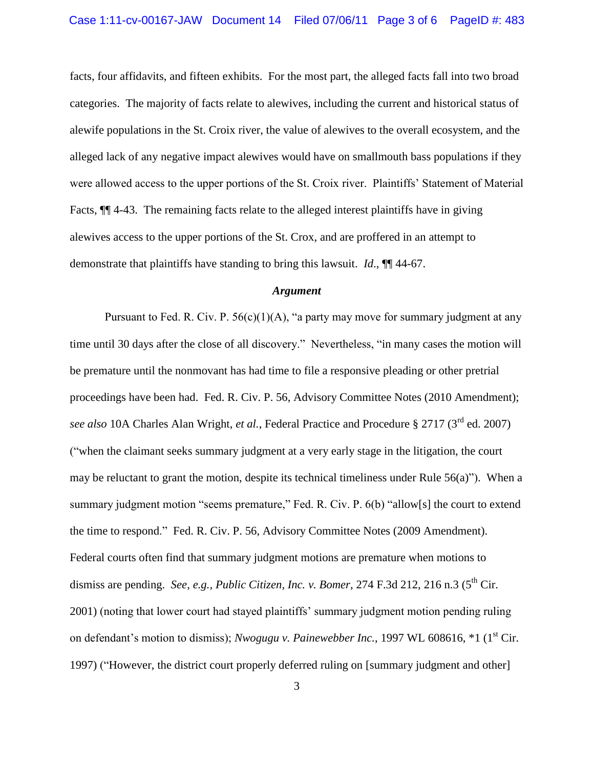facts, four affidavits, and fifteen exhibits. For the most part, the alleged facts fall into two broad categories. The majority of facts relate to alewives, including the current and historical status of alewife populations in the St. Croix river, the value of alewives to the overall ecosystem, and the alleged lack of any negative impact alewives would have on smallmouth bass populations if they were allowed access to the upper portions of the St. Croix river. Plaintiffs' Statement of Material Facts,  $\P$  4-43. The remaining facts relate to the alleged interest plaintiffs have in giving alewives access to the upper portions of the St. Crox, and are proffered in an attempt to demonstrate that plaintiffs have standing to bring this lawsuit. *Id*., ¶¶ 44-67.

#### *Argument*

Pursuant to Fed. R. Civ. P.  $56(c)(1)(A)$ , "a party may move for summary judgment at any time until 30 days after the close of all discovery." Nevertheless, "in many cases the motion will be premature until the nonmovant has had time to file a responsive pleading or other pretrial proceedings have been had. Fed. R. Civ. P. 56, Advisory Committee Notes (2010 Amendment); *see also* 10A Charles Alan Wright, *et al.*, Federal Practice and Procedure § 2717 (3rd ed. 2007) ("when the claimant seeks summary judgment at a very early stage in the litigation, the court may be reluctant to grant the motion, despite its technical timeliness under Rule  $56(a)$ "). When a summary judgment motion "seems premature," Fed. R. Civ. P. 6(b) "allow[s] the court to extend the time to respond." Fed. R. Civ. P. 56, Advisory Committee Notes (2009 Amendment). Federal courts often find that summary judgment motions are premature when motions to dismiss are pending. *See, e.g., Public Citizen, Inc. v. Bomer*, 274 F.3d 212, 216 n.3 (5<sup>th</sup> Cir. 2001) (noting that lower court had stayed plaintiffs' summary judgment motion pending ruling on defendant's motion to dismiss); *Nwogugu v. Painewebber Inc.*, 1997 WL 608616, \*1 (1<sup>st</sup> Cir. 1997) ("However, the district court properly deferred ruling on [summary judgment and other]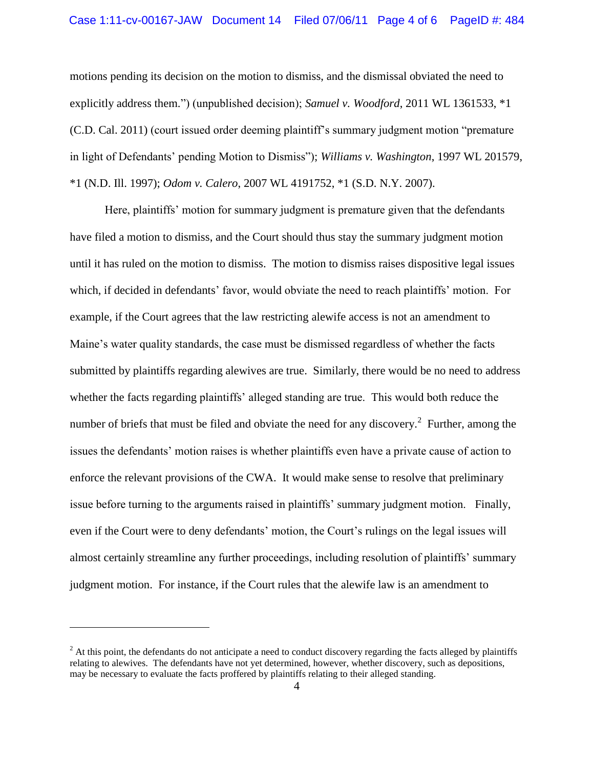motions pending its decision on the motion to dismiss, and the dismissal obviated the need to explicitly address them.") (unpublished decision); *Samuel v. Woodford*, 2011 WL 1361533, \*1 (C.D. Cal. 2011) (court issued order deeming plaintiff's summary judgment motion "premature in light of Defendants' pending Motion to Dismiss"); *Williams v. Washington*, 1997 WL 201579, \*1 (N.D. Ill. 1997); *Odom v. Calero*, 2007 WL 4191752, \*1 (S.D. N.Y. 2007).

Here, plaintiffs' motion for summary judgment is premature given that the defendants have filed a motion to dismiss, and the Court should thus stay the summary judgment motion until it has ruled on the motion to dismiss. The motion to dismiss raises dispositive legal issues which, if decided in defendants' favor, would obviate the need to reach plaintiffs' motion. For example, if the Court agrees that the law restricting alewife access is not an amendment to Maine's water quality standards, the case must be dismissed regardless of whether the facts submitted by plaintiffs regarding alewives are true. Similarly, there would be no need to address whether the facts regarding plaintiffs' alleged standing are true. This would both reduce the number of briefs that must be filed and obviate the need for any discovery.<sup>2</sup> Further, among the issues the defendants' motion raises is whether plaintiffs even have a private cause of action to enforce the relevant provisions of the CWA. It would make sense to resolve that preliminary issue before turning to the arguments raised in plaintiffs' summary judgment motion. Finally, even if the Court were to deny defendants' motion, the Court's rulings on the legal issues will almost certainly streamline any further proceedings, including resolution of plaintiffs' summary judgment motion. For instance, if the Court rules that the alewife law is an amendment to

 $\overline{a}$ 

 $<sup>2</sup>$  At this point, the defendants do not anticipate a need to conduct discovery regarding the facts alleged by plaintiffs</sup> relating to alewives. The defendants have not yet determined, however, whether discovery, such as depositions, may be necessary to evaluate the facts proffered by plaintiffs relating to their alleged standing.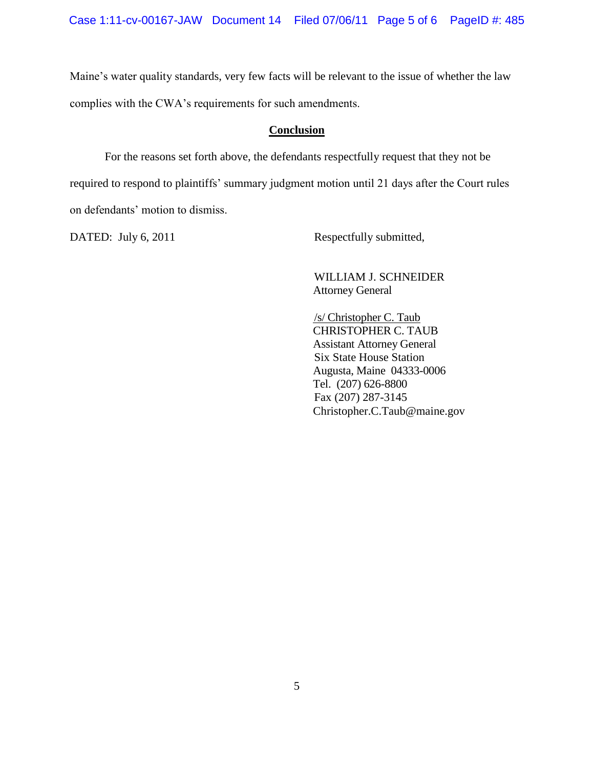Maine's water quality standards, very few facts will be relevant to the issue of whether the law complies with the CWA's requirements for such amendments.

#### **Conclusion**

For the reasons set forth above, the defendants respectfully request that they not be required to respond to plaintiffs' summary judgment motion until 21 days after the Court rules on defendants' motion to dismiss.

DATED: July 6, 2011 Respectfully submitted,

WILLIAM J. SCHNEIDER Attorney General

/s/ Christopher C. Taub CHRISTOPHER C. TAUB Assistant Attorney General Six State House Station Augusta, Maine 04333-0006 Tel. (207) 626-8800 Fax (207) 287-3145 Christopher.C.Taub@maine.gov